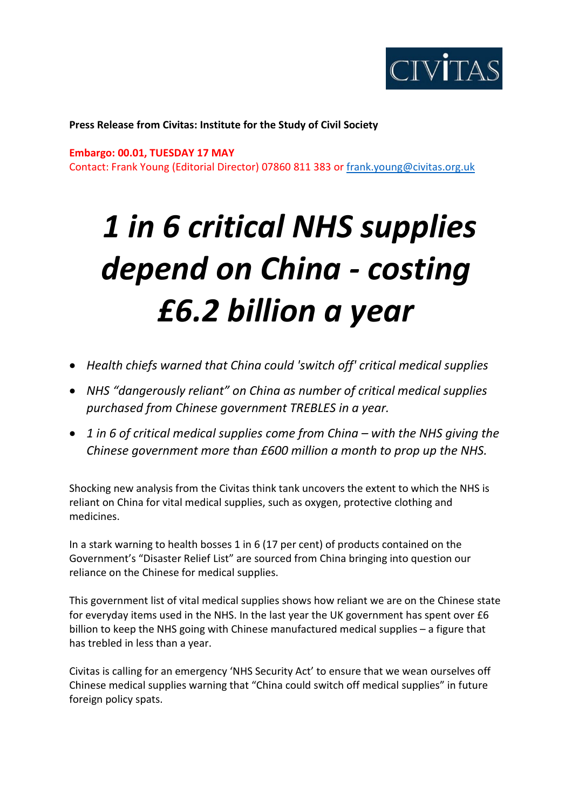

**Press Release from Civitas: Institute for the Study of Civil Society** 

## **Embargo: 00.01, TUESDAY 17 MAY**

Contact: Frank Young (Editorial Director) 07860 811 383 or [frank.young@civitas.org.uk](mailto:frank.young@civitas.org.uk)

## *1 in 6 critical NHS supplies depend on China - costing £6.2 billion a year*

- *Health chiefs warned that China could 'switch off' critical medical supplies*
- *NHS "dangerously reliant" on China as number of critical medical supplies purchased from Chinese government TREBLES in a year.*
- *1 in 6 of critical medical supplies come from China – with the NHS giving the Chinese government more than £600 million a month to prop up the NHS.*

Shocking new analysis from the Civitas think tank uncovers the extent to which the NHS is reliant on China for vital medical supplies, such as oxygen, protective clothing and medicines.

In a stark warning to health bosses 1 in 6 (17 per cent) of products contained on the Government's "Disaster Relief List" are sourced from China bringing into question our reliance on the Chinese for medical supplies.

This government list of vital medical supplies shows how reliant we are on the Chinese state for everyday items used in the NHS. In the last year the UK government has spent over £6 billion to keep the NHS going with Chinese manufactured medical supplies – a figure that has trebled in less than a year.

Civitas is calling for an emergency 'NHS Security Act' to ensure that we wean ourselves off Chinese medical supplies warning that "China could switch off medical supplies" in future foreign policy spats.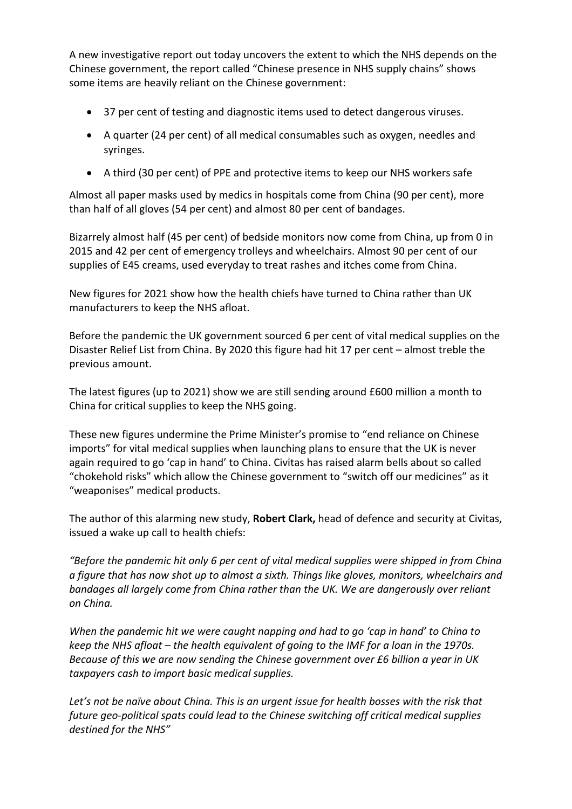A new investigative report out today uncovers the extent to which the NHS depends on the Chinese government, the report called "Chinese presence in NHS supply chains" shows some items are heavily reliant on the Chinese government:

- 37 per cent of testing and diagnostic items used to detect dangerous viruses.
- A quarter (24 per cent) of all medical consumables such as oxygen, needles and syringes.
- A third (30 per cent) of PPE and protective items to keep our NHS workers safe

Almost all paper masks used by medics in hospitals come from China (90 per cent), more than half of all gloves (54 per cent) and almost 80 per cent of bandages.

Bizarrely almost half (45 per cent) of bedside monitors now come from China, up from 0 in 2015 and 42 per cent of emergency trolleys and wheelchairs. Almost 90 per cent of our supplies of E45 creams, used everyday to treat rashes and itches come from China.

New figures for 2021 show how the health chiefs have turned to China rather than UK manufacturers to keep the NHS afloat.

Before the pandemic the UK government sourced 6 per cent of vital medical supplies on the Disaster Relief List from China. By 2020 this figure had hit 17 per cent – almost treble the previous amount.

The latest figures (up to 2021) show we are still sending around £600 million a month to China for critical supplies to keep the NHS going.

These new figures undermine the Prime Minister's promise to "end reliance on Chinese imports" for vital medical supplies when launching plans to ensure that the UK is never again required to go 'cap in hand' to China. Civitas has raised alarm bells about so called "chokehold risks" which allow the Chinese government to "switch off our medicines" as it "weaponises" medical products.

The author of this alarming new study, **Robert Clark,** head of defence and security at Civitas, issued a wake up call to health chiefs:

*"Before the pandemic hit only 6 per cent of vital medical supplies were shipped in from China a figure that has now shot up to almost a sixth. Things like gloves, monitors, wheelchairs and bandages all largely come from China rather than the UK. We are dangerously over reliant on China.* 

*When the pandemic hit we were caught napping and had to go 'cap in hand' to China to keep the NHS afloat – the health equivalent of going to the IMF for a loan in the 1970s. Because of this we are now sending the Chinese government over £6 billion a year in UK taxpayers cash to import basic medical supplies.*

*Let's not be naïve about China. This is an urgent issue for health bosses with the risk that future geo-political spats could lead to the Chinese switching off critical medical supplies destined for the NHS"*